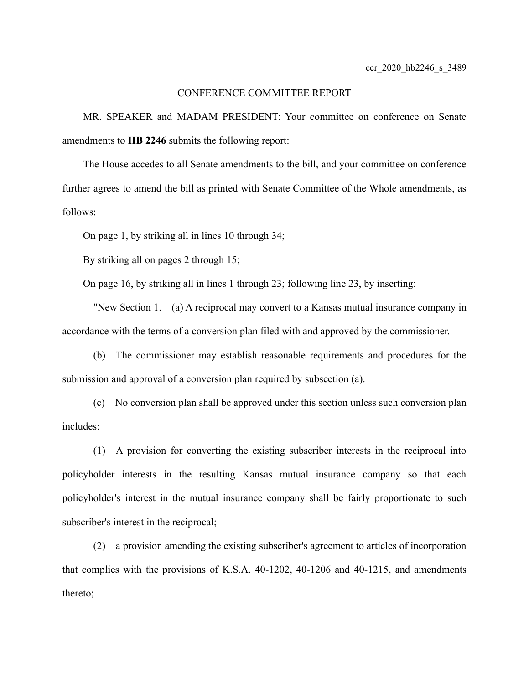## CONFERENCE COMMITTEE REPORT

MR. SPEAKER and MADAM PRESIDENT: Your committee on conference on Senate amendments to **HB 2246** submits the following report:

The House accedes to all Senate amendments to the bill, and your committee on conference further agrees to amend the bill as printed with Senate Committee of the Whole amendments, as follows:

On page 1, by striking all in lines 10 through 34;

By striking all on pages 2 through 15;

On page 16, by striking all in lines 1 through 23; following line 23, by inserting:

"New Section 1. (a) A reciprocal may convert to a Kansas mutual insurance company in accordance with the terms of a conversion plan filed with and approved by the commissioner.

(b) The commissioner may establish reasonable requirements and procedures for the submission and approval of a conversion plan required by subsection (a).

(c) No conversion plan shall be approved under this section unless such conversion plan includes:

(1) A provision for converting the existing subscriber interests in the reciprocal into policyholder interests in the resulting Kansas mutual insurance company so that each policyholder's interest in the mutual insurance company shall be fairly proportionate to such subscriber's interest in the reciprocal;

(2) a provision amending the existing subscriber's agreement to articles of incorporation that complies with the provisions of K.S.A. 40-1202, 40-1206 and 40-1215, and amendments thereto;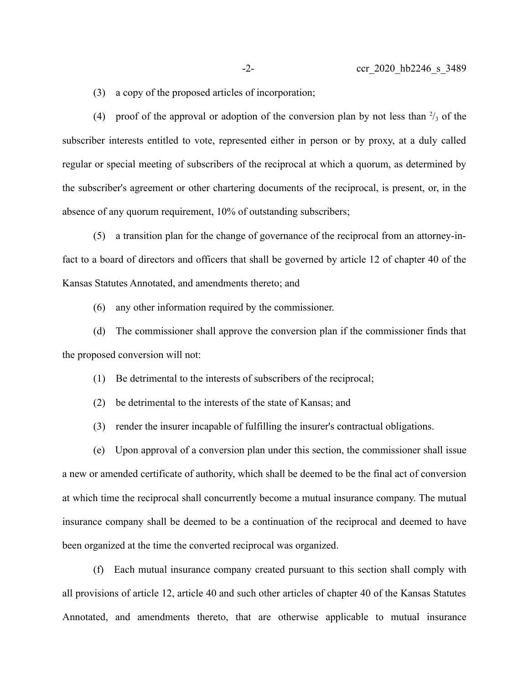(3) a copy of the proposed articles of incorporation;

(4) proof of the approval or adoption of the conversion plan by not less than  $\frac{2}{3}$  of the subscriber interests entitled to vote, represented either in person or by proxy, at a duly called regular or special meeting of subscribers of the reciprocal at which a quorum, as determined by the subscriber's agreement or other chartering documents of the reciprocal, is present, or, in the absence of any quorum requirement, 10% of outstanding subscribers;

(5) a transition plan for the change of governance of the reciprocal from an attorney-infact to a board of directors and officers that shall be governed by article 12 of chapter 40 of the Kansas Statutes Annotated, and amendments thereto; and

(6) any other information required by the commissioner.

(d) The commissioner shall approve the conversion plan if the commissioner finds that the proposed conversion will not:

(1) Be detrimental to the interests of subscribers of the reciprocal;

(2) be detrimental to the interests of the state of Kansas; and

(3) render the insurer incapable of fulfilling the insurer's contractual obligations.

(e) Upon approval of a conversion plan under this section, the commissioner shall issue a new or amended certificate of authority, which shall be deemed to be the final act of conversion at which time the reciprocal shall concurrently become a mutual insurance company. The mutual insurance company shall be deemed to be a continuation of the reciprocal and deemed to have been organized at the time the converted reciprocal was organized.

(f) Each mutual insurance company created pursuant to this section shall comply with all provisions of article 12, article 40 and such other articles of chapter 40 of the Kansas Statutes Annotated, and amendments thereto, that are otherwise applicable to mutual insurance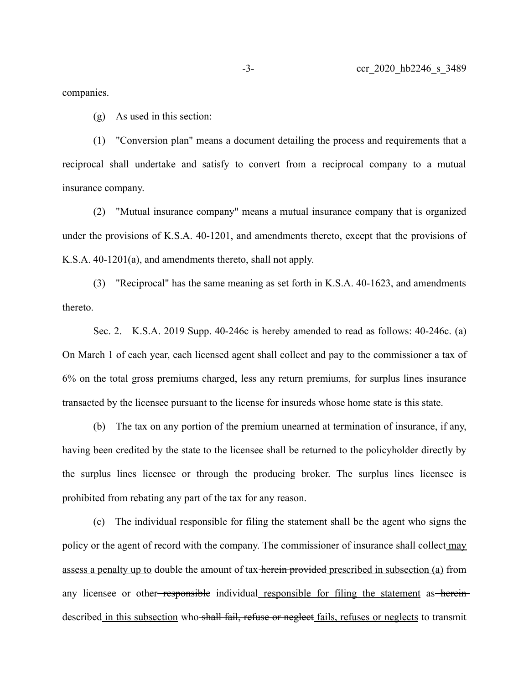companies.

(g) As used in this section:

(1) "Conversion plan" means a document detailing the process and requirements that a reciprocal shall undertake and satisfy to convert from a reciprocal company to a mutual insurance company.

(2) "Mutual insurance company" means a mutual insurance company that is organized under the provisions of K.S.A. 40-1201, and amendments thereto, except that the provisions of K.S.A. 40-1201(a), and amendments thereto, shall not apply.

(3) "Reciprocal" has the same meaning as set forth in K.S.A. 40-1623, and amendments thereto.

Sec. 2. K.S.A. 2019 Supp. 40-246c is hereby amended to read as follows: 40-246c. (a) On March 1 of each year, each licensed agent shall collect and pay to the commissioner a tax of 6% on the total gross premiums charged, less any return premiums, for surplus lines insurance transacted by the licensee pursuant to the license for insureds whose home state is this state.

(b) The tax on any portion of the premium unearned at termination of insurance, if any, having been credited by the state to the licensee shall be returned to the policyholder directly by the surplus lines licensee or through the producing broker. The surplus lines licensee is prohibited from rebating any part of the tax for any reason.

(c) The individual responsible for filing the statement shall be the agent who signs the policy or the agent of record with the company. The commissioner of insurance shall collect may assess a penalty up to double the amount of tax herein provided prescribed in subsection (a) from any licensee or other<del>-responsible</del> individual responsible for filing the statement as hereindescribed in this subsection who shall fail, refuse or neglect fails, refuses or neglects to transmit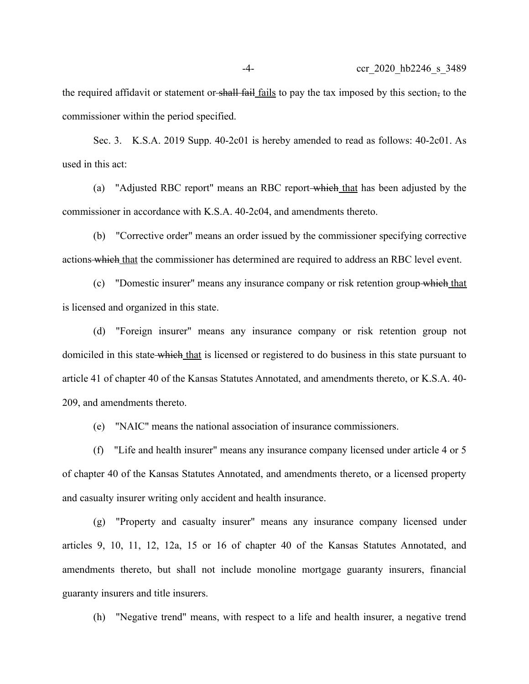the required affidavit or statement or shall fail fails to pay the tax imposed by this section, to the commissioner within the period specified.

Sec. 3. K.S.A. 2019 Supp. 40-2c01 is hereby amended to read as follows: 40-2c01. As used in this act:

(a) "Adjusted RBC report" means an RBC report which that has been adjusted by the commissioner in accordance with K.S.A. 40-2c04, and amendments thereto.

(b) "Corrective order" means an order issued by the commissioner specifying corrective actions which that the commissioner has determined are required to address an RBC level event.

(c) "Domestic insurer" means any insurance company or risk retention group which that is licensed and organized in this state.

(d) "Foreign insurer" means any insurance company or risk retention group not domiciled in this state which that is licensed or registered to do business in this state pursuant to article 41 of chapter 40 of the Kansas Statutes Annotated, and amendments thereto, or K.S.A. 40- 209, and amendments thereto.

(e) "NAIC" means the national association of insurance commissioners.

(f) "Life and health insurer" means any insurance company licensed under article 4 or 5 of chapter 40 of the Kansas Statutes Annotated, and amendments thereto, or a licensed property and casualty insurer writing only accident and health insurance.

(g) "Property and casualty insurer" means any insurance company licensed under articles 9, 10, 11, 12, 12a, 15 or 16 of chapter 40 of the Kansas Statutes Annotated, and amendments thereto, but shall not include monoline mortgage guaranty insurers, financial guaranty insurers and title insurers.

(h) "Negative trend" means, with respect to a life and health insurer, a negative trend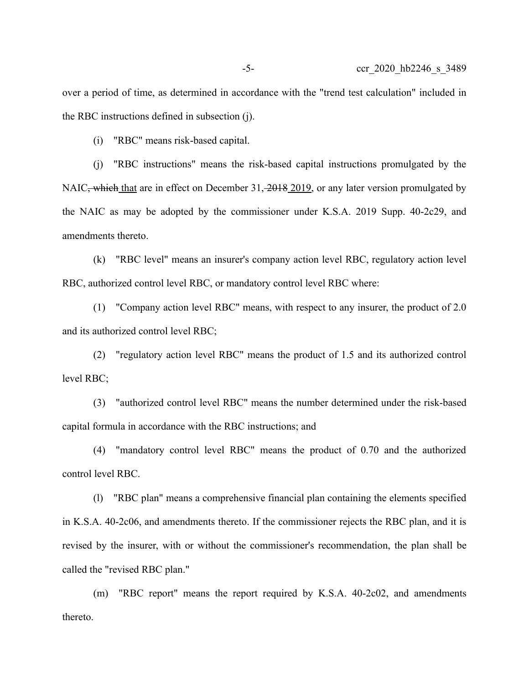over a period of time, as determined in accordance with the "trend test calculation" included in the RBC instructions defined in subsection (j).

(i) "RBC" means risk-based capital.

(j) "RBC instructions" means the risk-based capital instructions promulgated by the NAIC<del>, which</del> that are in effect on December 31, 2018 2019, or any later version promulgated by the NAIC as may be adopted by the commissioner under K.S.A. 2019 Supp. 40-2c29, and amendments thereto.

(k) "RBC level" means an insurer's company action level RBC, regulatory action level RBC, authorized control level RBC, or mandatory control level RBC where:

(1) "Company action level RBC" means, with respect to any insurer, the product of 2.0 and its authorized control level RBC;

(2) "regulatory action level RBC" means the product of 1.5 and its authorized control level RBC;

(3) "authorized control level RBC" means the number determined under the risk-based capital formula in accordance with the RBC instructions; and

(4) "mandatory control level RBC" means the product of 0.70 and the authorized control level RBC.

(l) "RBC plan" means a comprehensive financial plan containing the elements specified in K.S.A. 40-2c06, and amendments thereto. If the commissioner rejects the RBC plan, and it is revised by the insurer, with or without the commissioner's recommendation, the plan shall be called the "revised RBC plan."

(m) "RBC report" means the report required by K.S.A. 40-2c02, and amendments thereto.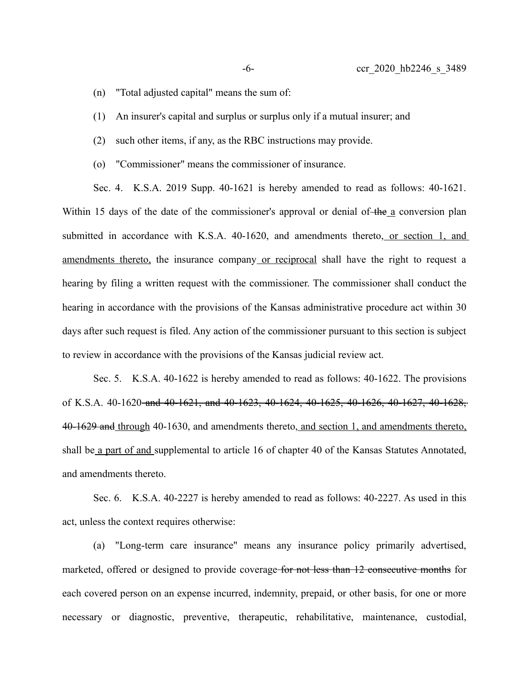- (n) "Total adjusted capital" means the sum of:
- (1) An insurer's capital and surplus or surplus only if a mutual insurer; and
- (2) such other items, if any, as the RBC instructions may provide.
- (o) "Commissioner" means the commissioner of insurance.

Sec. 4. K.S.A. 2019 Supp. 40-1621 is hereby amended to read as follows: 40-1621. Within 15 days of the date of the commissioner's approval or denial of the a conversion plan submitted in accordance with K.S.A. 40-1620, and amendments thereto, or section 1, and amendments thereto, the insurance company or reciprocal shall have the right to request a hearing by filing a written request with the commissioner. The commissioner shall conduct the hearing in accordance with the provisions of the Kansas administrative procedure act within 30 days after such request is filed. Any action of the commissioner pursuant to this section is subject to review in accordance with the provisions of the Kansas judicial review act.

Sec. 5. K.S.A. 40-1622 is hereby amended to read as follows: 40-1622. The provisions of K.S.A. 40-1620 and 40-1621, and 40-1623, 40-1624, 40-1625, 40-1626, 40-1627, 40-1628, 40-1629 and through 40-1630, and amendments thereto, and section 1, and amendments thereto, shall be a part of and supplemental to article 16 of chapter 40 of the Kansas Statutes Annotated, and amendments thereto.

Sec. 6. K.S.A. 40-2227 is hereby amended to read as follows: 40-2227. As used in this act, unless the context requires otherwise:

(a) "Long-term care insurance" means any insurance policy primarily advertised, marketed, offered or designed to provide coverage for not less than 12 consecutive months for each covered person on an expense incurred, indemnity, prepaid, or other basis, for one or more necessary or diagnostic, preventive, therapeutic, rehabilitative, maintenance, custodial,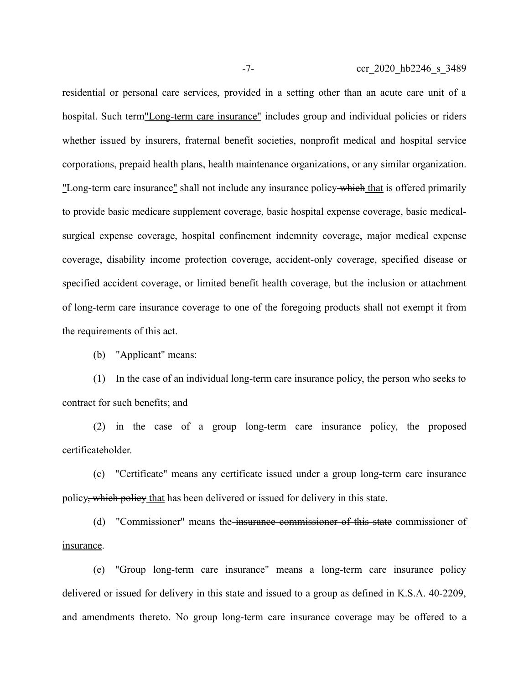residential or personal care services, provided in a setting other than an acute care unit of a hospital. Such term"Long-term care insurance" includes group and individual policies or riders whether issued by insurers, fraternal benefit societies, nonprofit medical and hospital service corporations, prepaid health plans, health maintenance organizations, or any similar organization. "Long-term care insurance" shall not include any insurance policy which that is offered primarily to provide basic medicare supplement coverage, basic hospital expense coverage, basic medicalsurgical expense coverage, hospital confinement indemnity coverage, major medical expense coverage, disability income protection coverage, accident-only coverage, specified disease or specified accident coverage, or limited benefit health coverage, but the inclusion or attachment of long-term care insurance coverage to one of the foregoing products shall not exempt it from the requirements of this act.

(b) "Applicant" means:

(1) In the case of an individual long-term care insurance policy, the person who seeks to contract for such benefits; and

(2) in the case of a group long-term care insurance policy, the proposed certificateholder.

(c) "Certificate" means any certificate issued under a group long-term care insurance policy, which policy that has been delivered or issued for delivery in this state.

(d) "Commissioner" means the insurance commissioner of this state commissioner of insurance.

(e) "Group long-term care insurance" means a long-term care insurance policy delivered or issued for delivery in this state and issued to a group as defined in K.S.A. 40-2209, and amendments thereto. No group long-term care insurance coverage may be offered to a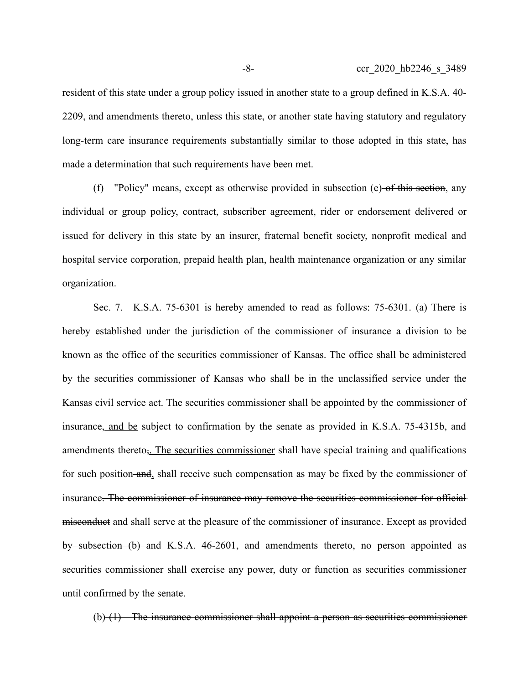resident of this state under a group policy issued in another state to a group defined in K.S.A. 40- 2209, and amendments thereto, unless this state, or another state having statutory and regulatory long-term care insurance requirements substantially similar to those adopted in this state, has made a determination that such requirements have been met.

(f) "Policy" means, except as otherwise provided in subsection (e) of this section, any individual or group policy, contract, subscriber agreement, rider or endorsement delivered or issued for delivery in this state by an insurer, fraternal benefit society, nonprofit medical and hospital service corporation, prepaid health plan, health maintenance organization or any similar organization.

Sec. 7. K.S.A. 75-6301 is hereby amended to read as follows: 75-6301. (a) There is hereby established under the jurisdiction of the commissioner of insurance a division to be known as the office of the securities commissioner of Kansas. The office shall be administered by the securities commissioner of Kansas who shall be in the unclassified service under the Kansas civil service act. The securities commissioner shall be appointed by the commissioner of insurance, and be subject to confirmation by the senate as provided in K.S.A. 75-4315b, and amendments thereto<sub>r</sub>. The securities commissioner shall have special training and qualifications for such position and, shall receive such compensation as may be fixed by the commissioner of insurance. The commissioner of insurance may remove the securities commissioner for official misconduct and shall serve at the pleasure of the commissioner of insurance. Except as provided by subsection (b) and K.S.A. 46-2601, and amendments thereto, no person appointed as securities commissioner shall exercise any power, duty or function as securities commissioner until confirmed by the senate.

(b) (1) The insurance commissioner shall appoint a person as securities commissioner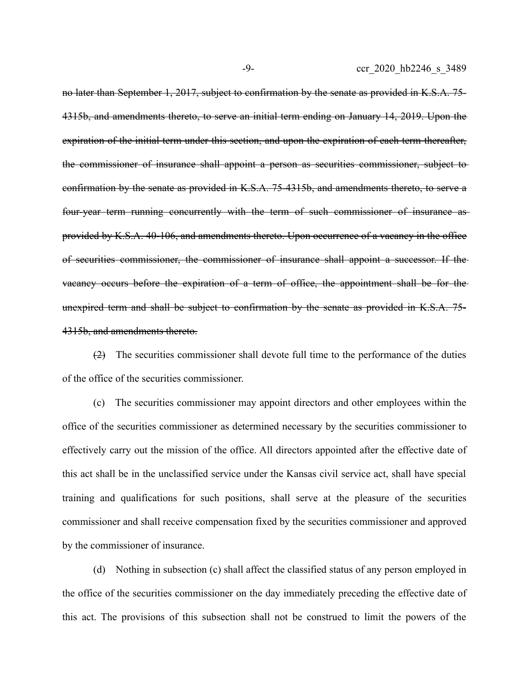no later than September 1, 2017, subject to confirmation by the senate as provided in K.S.A. 75- 4315b, and amendments thereto, to serve an initial term ending on January 14, 2019. Upon the expiration of the initial term under this section, and upon the expiration of each term thereafter, the commissioner of insurance shall appoint a person as securities commissioner, subject to confirmation by the senate as provided in K.S.A. 75-4315b, and amendments thereto, to serve a four-year term running concurrently with the term of such commissioner of insurance as provided by K.S.A. 40-106, and amendments thereto. Upon occurrence of a vacancy in the office of securities commissioner, the commissioner of insurance shall appoint a successor. If the vacancy occurs before the expiration of a term of office, the appointment shall be for the unexpired term and shall be subject to confirmation by the senate as provided in K.S.A. 75- 4315b, and amendments thereto.

(2) The securities commissioner shall devote full time to the performance of the duties of the office of the securities commissioner.

(c) The securities commissioner may appoint directors and other employees within the office of the securities commissioner as determined necessary by the securities commissioner to effectively carry out the mission of the office. All directors appointed after the effective date of this act shall be in the unclassified service under the Kansas civil service act, shall have special training and qualifications for such positions, shall serve at the pleasure of the securities commissioner and shall receive compensation fixed by the securities commissioner and approved by the commissioner of insurance.

(d) Nothing in subsection (c) shall affect the classified status of any person employed in the office of the securities commissioner on the day immediately preceding the effective date of this act. The provisions of this subsection shall not be construed to limit the powers of the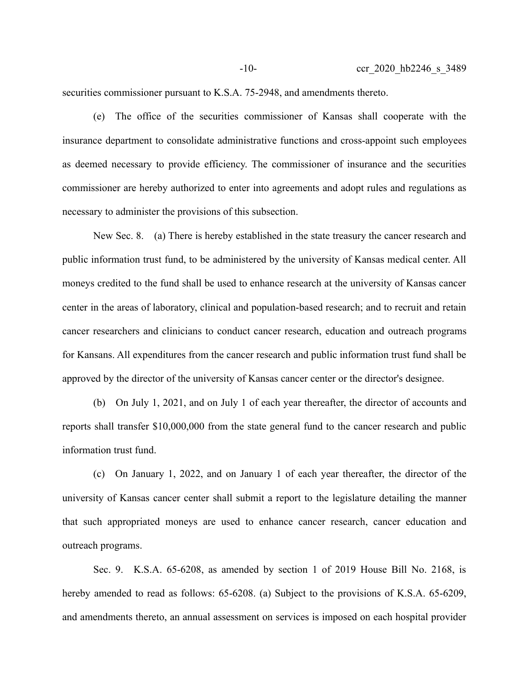securities commissioner pursuant to K.S.A. 75-2948, and amendments thereto.

(e) The office of the securities commissioner of Kansas shall cooperate with the insurance department to consolidate administrative functions and cross-appoint such employees as deemed necessary to provide efficiency. The commissioner of insurance and the securities commissioner are hereby authorized to enter into agreements and adopt rules and regulations as necessary to administer the provisions of this subsection.

New Sec. 8. (a) There is hereby established in the state treasury the cancer research and public information trust fund, to be administered by the university of Kansas medical center. All moneys credited to the fund shall be used to enhance research at the university of Kansas cancer center in the areas of laboratory, clinical and population-based research; and to recruit and retain cancer researchers and clinicians to conduct cancer research, education and outreach programs for Kansans. All expenditures from the cancer research and public information trust fund shall be approved by the director of the university of Kansas cancer center or the director's designee.

(b) On July 1, 2021, and on July 1 of each year thereafter, the director of accounts and reports shall transfer \$10,000,000 from the state general fund to the cancer research and public information trust fund.

(c) On January 1, 2022, and on January 1 of each year thereafter, the director of the university of Kansas cancer center shall submit a report to the legislature detailing the manner that such appropriated moneys are used to enhance cancer research, cancer education and outreach programs.

Sec. 9. K.S.A. 65-6208, as amended by section 1 of 2019 House Bill No. 2168, is hereby amended to read as follows: 65-6208. (a) Subject to the provisions of K.S.A. 65-6209, and amendments thereto, an annual assessment on services is imposed on each hospital provider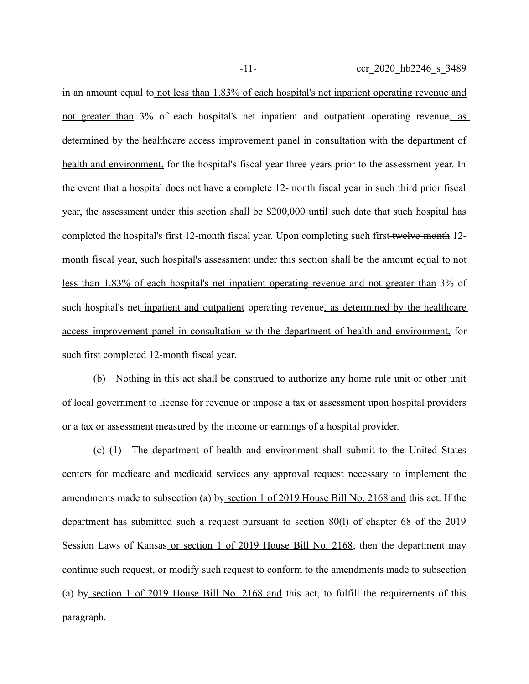in an amount equal to not less than 1.83% of each hospital's net inpatient operating revenue and not greater than 3% of each hospital's net inpatient and outpatient operating revenue, as determined by the healthcare access improvement panel in consultation with the department of health and environment, for the hospital's fiscal year three years prior to the assessment year. In the event that a hospital does not have a complete 12-month fiscal year in such third prior fiscal year, the assessment under this section shall be \$200,000 until such date that such hospital has completed the hospital's first 12-month fiscal year. Upon completing such first twelve-month 12 month fiscal year, such hospital's assessment under this section shall be the amount-equal to not less than 1.83% of each hospital's net inpatient operating revenue and not greater than 3% of such hospital's net inpatient and outpatient operating revenue, as determined by the healthcare access improvement panel in consultation with the department of health and environment, for such first completed 12-month fiscal year.

(b) Nothing in this act shall be construed to authorize any home rule unit or other unit of local government to license for revenue or impose a tax or assessment upon hospital providers or a tax or assessment measured by the income or earnings of a hospital provider.

(c) (1) The department of health and environment shall submit to the United States centers for medicare and medicaid services any approval request necessary to implement the amendments made to subsection (a) by section 1 of 2019 House Bill No. 2168 and this act. If the department has submitted such a request pursuant to section 80(l) of chapter 68 of the 2019 Session Laws of Kansas or section 1 of 2019 House Bill No. 2168, then the department may continue such request, or modify such request to conform to the amendments made to subsection (a) by section 1 of 2019 House Bill No. 2168 and this act, to fulfill the requirements of this paragraph.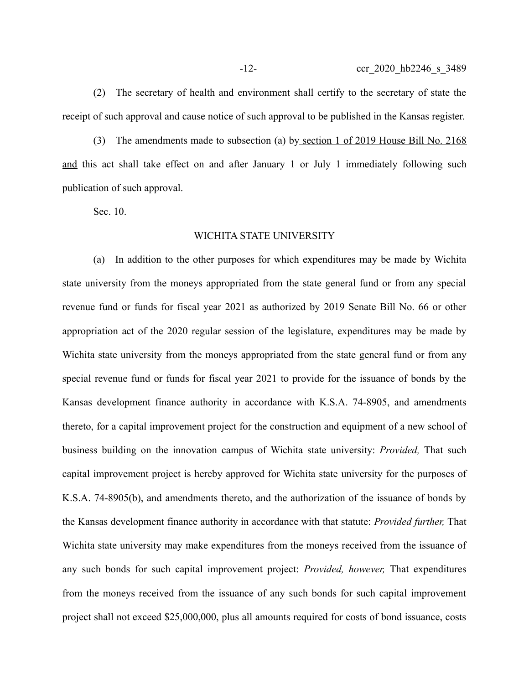(2) The secretary of health and environment shall certify to the secretary of state the receipt of such approval and cause notice of such approval to be published in the Kansas register.

(3) The amendments made to subsection (a) by section 1 of 2019 House Bill No. 2168 and this act shall take effect on and after January 1 or July 1 immediately following such publication of such approval.

Sec. 10.

## WICHITA STATE UNIVERSITY

(a) In addition to the other purposes for which expenditures may be made by Wichita state university from the moneys appropriated from the state general fund or from any special revenue fund or funds for fiscal year 2021 as authorized by 2019 Senate Bill No. 66 or other appropriation act of the 2020 regular session of the legislature, expenditures may be made by Wichita state university from the moneys appropriated from the state general fund or from any special revenue fund or funds for fiscal year 2021 to provide for the issuance of bonds by the Kansas development finance authority in accordance with K.S.A. 74-8905, and amendments thereto, for a capital improvement project for the construction and equipment of a new school of business building on the innovation campus of Wichita state university: *Provided,* That such capital improvement project is hereby approved for Wichita state university for the purposes of K.S.A. 74-8905(b), and amendments thereto, and the authorization of the issuance of bonds by the Kansas development finance authority in accordance with that statute: *Provided further,* That Wichita state university may make expenditures from the moneys received from the issuance of any such bonds for such capital improvement project: *Provided, however,* That expenditures from the moneys received from the issuance of any such bonds for such capital improvement project shall not exceed \$25,000,000, plus all amounts required for costs of bond issuance, costs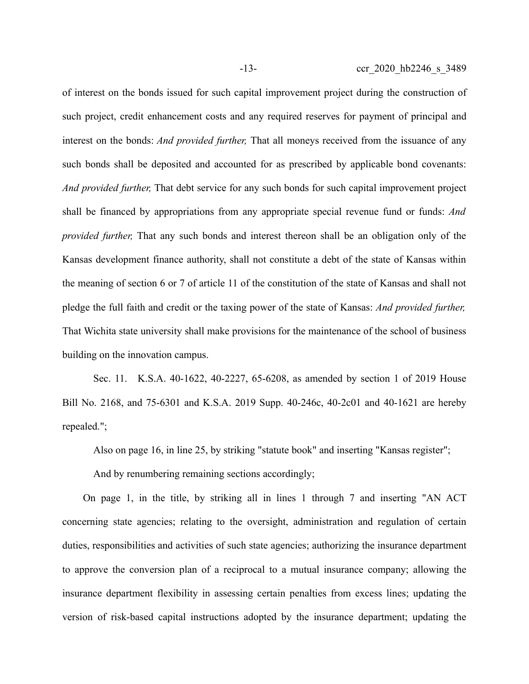of interest on the bonds issued for such capital improvement project during the construction of such project, credit enhancement costs and any required reserves for payment of principal and interest on the bonds: *And provided further,* That all moneys received from the issuance of any such bonds shall be deposited and accounted for as prescribed by applicable bond covenants: *And provided further,* That debt service for any such bonds for such capital improvement project shall be financed by appropriations from any appropriate special revenue fund or funds: *And provided further,* That any such bonds and interest thereon shall be an obligation only of the Kansas development finance authority, shall not constitute a debt of the state of Kansas within the meaning of section 6 or 7 of article 11 of the constitution of the state of Kansas and shall not pledge the full faith and credit or the taxing power of the state of Kansas: *And provided further,* That Wichita state university shall make provisions for the maintenance of the school of business building on the innovation campus.

Sec. 11. K.S.A. 40-1622, 40-2227, 65-6208, as amended by section 1 of 2019 House Bill No. 2168, and 75-6301 and K.S.A. 2019 Supp. 40-246c, 40-2c01 and 40-1621 are hereby repealed.";

Also on page 16, in line 25, by striking "statute book" and inserting "Kansas register";

And by renumbering remaining sections accordingly;

On page 1, in the title, by striking all in lines 1 through 7 and inserting "AN ACT concerning state agencies; relating to the oversight, administration and regulation of certain duties, responsibilities and activities of such state agencies; authorizing the insurance department to approve the conversion plan of a reciprocal to a mutual insurance company; allowing the insurance department flexibility in assessing certain penalties from excess lines; updating the version of risk-based capital instructions adopted by the insurance department; updating the